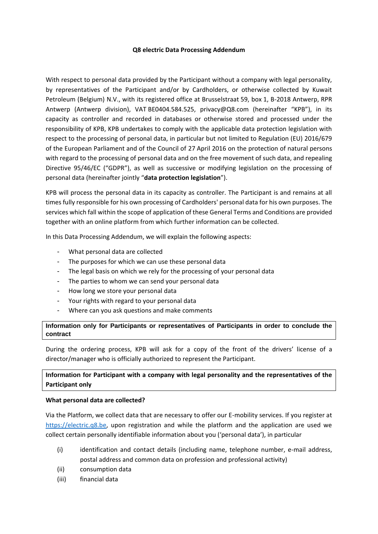#### **Q8 electric Data Processing Addendum**

With respect to personal data provided by the Participant without a company with legal personality, by representatives of the Participant and/or by Cardholders, or otherwise collected by Kuwait Petroleum (Belgium) N.V., with its registered office at Brusselstraat 59, box 1, B-2018 Antwerp, RPR Antwerp (Antwerp division), VAT BE0404.584.525, [privacy@Q8.com](mailto:privacy@Q8.com) (hereinafter "KPB"), in its capacity as controller and recorded in databases or otherwise stored and processed under the responsibility of KPB, KPB undertakes to comply with the applicable data protection legislation with respect to the processing of personal data, in particular but not limited to Regulation (EU) 2016/679 of the European Parliament and of the Council of 27 April 2016 on the protection of natural persons with regard to the processing of personal data and on the free movement of such data, and repealing Directive 95/46/EC ("GDPR"), as well as successive or modifying legislation on the processing of personal data (hereinafter jointly "**data protection legislation**").

KPB will process the personal data in its capacity as controller. The Participant is and remains at all times fully responsible for his own processing of Cardholders' personal data for his own purposes. The services which fall within the scope of application of these General Terms and Conditions are provided together with an online platform from which further information can be collected.

In this Data Processing Addendum, we will explain the following aspects:

- What personal data are collected
- The purposes for which we can use these personal data
- The legal basis on which we rely for the processing of your personal data
- The parties to whom we can send your personal data
- How long we store your personal data
- Your rights with regard to your personal data
- Where can you ask questions and make comments

**Information only for Participants or representatives of Participants in order to conclude the contract**

During the ordering process, KPB will ask for a copy of the front of the drivers' license of a director/manager who is officially authorized to represent the Participant.

## **Information for Participant with a company with legal personality and the representatives of the Participant only**

#### **What personal data are collected?**

Via the Platform, we collect data that are necessary to offer our E-mobility services. If you register at [https://electric.q8.be,](https://electric.q8.be/) upon registration and while the platform and the application are used we collect certain personally identifiable information about you ('personal data'), in particular

- (i) identification and contact details (including name, telephone number, e-mail address, postal address and common data on profession and professional activity)
- (ii) consumption data
- (iii) financial data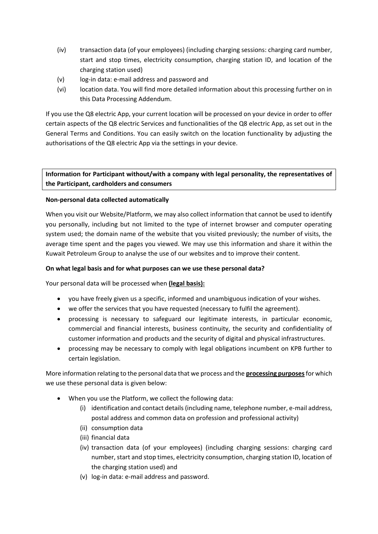- (iv) transaction data (of your employees) (including charging sessions: charging card number, start and stop times, electricity consumption, charging station ID, and location of the charging station used)
- (v) log-in data: e-mail address and password and
- (vi) location data. You will find more detailed information about this processing further on in this Data Processing Addendum.

If you use the Q8 electric App, your current location will be processed on your device in order to offer certain aspects of the Q8 electric Services and functionalities of the Q8 electric App, as set out in the General Terms and Conditions. You can easily switch on the location functionality by adjusting the authorisations of the Q8 electric App via the settings in your device.

# **Information for Participant without/with a company with legal personality, the representatives of the Participant, cardholders and consumers**

## **Non-personal data collected automatically**

When you visit our Website/Platform, we may also collect information that cannot be used to identify you personally, including but not limited to the type of internet browser and computer operating system used; the domain name of the website that you visited previously; the number of visits, the average time spent and the pages you viewed. We may use this information and share it within the Kuwait Petroleum Group to analyse the use of our websites and to improve their content.

## **On what legal basis and for what purposes can we use these personal data?**

Your personal data will be processed when **(legal basis):**

- you have freely given us a specific, informed and unambiguous indication of your wishes.
- we offer the services that you have requested (necessary to fulfil the agreement).
- processing is necessary to safeguard our legitimate interests, in particular economic, commercial and financial interests, business continuity, the security and confidentiality of customer information and products and the security of digital and physical infrastructures.
- processing may be necessary to comply with legal obligations incumbent on KPB further to certain legislation.

More information relating to the personal data that we process and the **processing purposes**for which we use these personal data is given below:

- When you use the Platform, we collect the following data:
	- (i) identification and contact details (including name, telephone number, e-mail address, postal address and common data on profession and professional activity)
	- (ii) consumption data
	- (iii) financial data
	- (iv) transaction data (of your employees) (including charging sessions: charging card number, start and stop times, electricity consumption, charging station ID, location of the charging station used) and
	- (v) log-in data: e-mail address and password.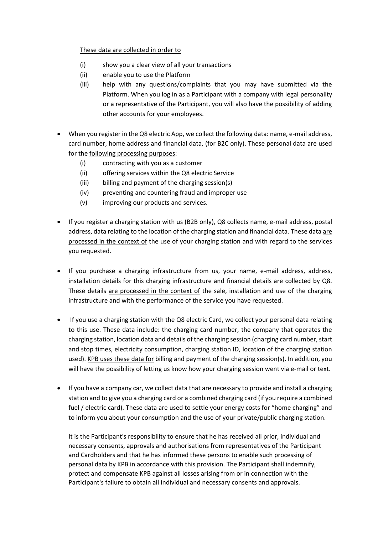## These data are collected in order to

- (i) show you a clear view of all your transactions
- (ii) enable you to use the Platform
- (iii) help with any questions/complaints that you may have submitted via the Platform. When you log in as a Participant with a company with legal personality or a representative of the Participant, you will also have the possibility of adding other accounts for your employees.
- When you register in the Q8 electric App, we collect the following data: name, e-mail address, card number, home address and financial data, (for B2C only). These personal data are used for the following processing purposes:
	- (i) contracting with you as a customer
	- (ii) offering services within the Q8 electric Service
	- (iii) billing and payment of the charging session(s)
	- (iv) preventing and countering fraud and improper use
	- (v) improving our products and services.
- If you register a charging station with us (B2B only), Q8 collects name, e-mail address, postal address, data relating to the location of the charging station and financial data. These data are processed in the context of the use of your charging station and with regard to the services you requested.
- If you purchase a charging infrastructure from us, your name, e-mail address, address, installation details for this charging infrastructure and financial details are collected by Q8. These details are processed in the context of the sale, installation and use of the charging infrastructure and with the performance of the service you have requested.
- If you use a charging station with the Q8 electric Card, we collect your personal data relating to this use. These data include: the charging card number, the company that operates the charging station, location data and details of the charging session (charging card number, start and stop times, electricity consumption, charging station ID, location of the charging station used). KPB uses these data for billing and payment of the charging session(s). In addition, you will have the possibility of letting us know how your charging session went via e-mail or text.
- If you have a company car, we collect data that are necessary to provide and install a charging station and to give you a charging card or a combined charging card (if you require a combined fuel / electric card). These data are used to settle your energy costs for "home charging" and to inform you about your consumption and the use of your private/public charging station.

It is the Participant's responsibility to ensure that he has received all prior, individual and necessary consents, approvals and authorisations from representatives of the Participant and Cardholders and that he has informed these persons to enable such processing of personal data by KPB in accordance with this provision. The Participant shall indemnify, protect and compensate KPB against all losses arising from or in connection with the Participant's failure to obtain all individual and necessary consents and approvals.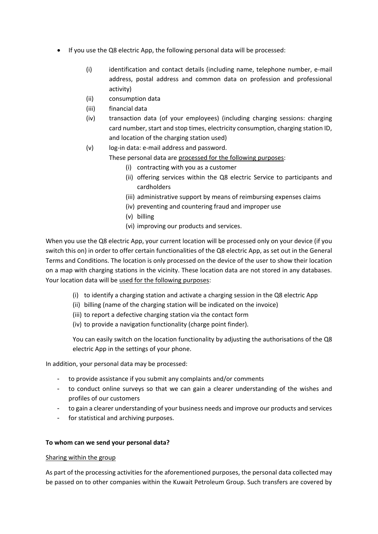- If you use the Q8 electric App, the following personal data will be processed:
	- (i) identification and contact details (including name, telephone number, e-mail address, postal address and common data on profession and professional activity)
	- (ii) consumption data
	- (iii) financial data
	- (iv) transaction data (of your employees) (including charging sessions: charging card number, start and stop times, electricity consumption, charging station ID, and location of the charging station used)
	- (v) log-in data: e-mail address and password.

These personal data are processed for the following purposes:

- (i) contracting with you as a customer
- (ii) offering services within the Q8 electric Service to participants and cardholders
- (iii) administrative support by means of reimbursing expenses claims
- (iv) preventing and countering fraud and improper use
- (v) billing
- (vi) improving our products and services.

When you use the Q8 electric App, your current location will be processed only on your device (if you switch this on) in order to offer certain functionalities of the Q8 electric App, as set out in the General Terms and Conditions. The location is only processed on the device of the user to show their location on a map with charging stations in the vicinity. These location data are not stored in any databases. Your location data will be used for the following purposes:

- (i) to identify a charging station and activate a charging session in the Q8 electric App
- (ii) billing (name of the charging station will be indicated on the invoice)
- (iii) to report a defective charging station via the contact form
- (iv) to provide a navigation functionality (charge point finder).

You can easily switch on the location functionality by adjusting the authorisations of the Q8 electric App in the settings of your phone.

In addition, your personal data may be processed:

- to provide assistance if you submit any complaints and/or comments
- to conduct online surveys so that we can gain a clearer understanding of the wishes and profiles of our customers
- to gain a clearer understanding of your business needs and improve our products and services
- for statistical and archiving purposes.

#### **To whom can we send your personal data?**

#### Sharing within the group

As part of the processing activities for the aforementioned purposes, the personal data collected may be passed on to other companies within the Kuwait Petroleum Group. Such transfers are covered by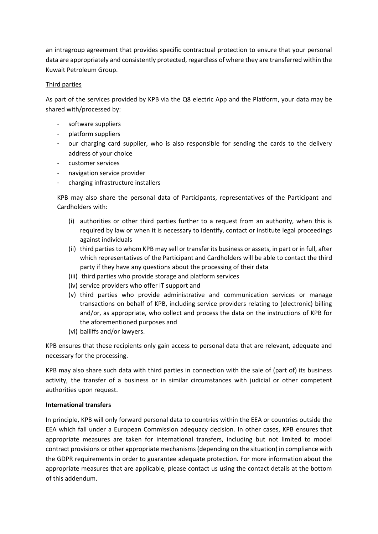an intragroup agreement that provides specific contractual protection to ensure that your personal data are appropriately and consistently protected, regardless of where they are transferred within the Kuwait Petroleum Group.

## Third parties

As part of the services provided by KPB via the Q8 electric App and the Platform, your data may be shared with/processed by:

- software suppliers
- platform suppliers
- our charging card supplier, who is also responsible for sending the cards to the delivery address of your choice
- customer services
- navigation service provider
- charging infrastructure installers

KPB may also share the personal data of Participants, representatives of the Participant and Cardholders with:

- (i) authorities or other third parties further to a request from an authority, when this is required by law or when it is necessary to identify, contact or institute legal proceedings against individuals
- (ii) third parties to whom KPB may sell or transfer its business or assets, in part or in full, after which representatives of the Participant and Cardholders will be able to contact the third party if they have any questions about the processing of their data
- (iii) third parties who provide storage and platform services
- (iv) service providers who offer IT support and
- (v) third parties who provide administrative and communication services or manage transactions on behalf of KPB, including service providers relating to (electronic) billing and/or, as appropriate, who collect and process the data on the instructions of KPB for the aforementioned purposes and
- (vi) bailiffs and/or lawyers.

KPB ensures that these recipients only gain access to personal data that are relevant, adequate and necessary for the processing.

KPB may also share such data with third parties in connection with the sale of (part of) its business activity, the transfer of a business or in similar circumstances with judicial or other competent authorities upon request.

## **International transfers**

In principle, KPB will only forward personal data to countries within the EEA or countries outside the EEA which fall under a European Commission adequacy decision. In other cases, KPB ensures that appropriate measures are taken for international transfers, including but not limited to model contract provisions or other appropriate mechanisms (depending on the situation) in compliance with the GDPR requirements in order to guarantee adequate protection. For more information about the appropriate measures that are applicable, please contact us using the contact details at the bottom of this addendum.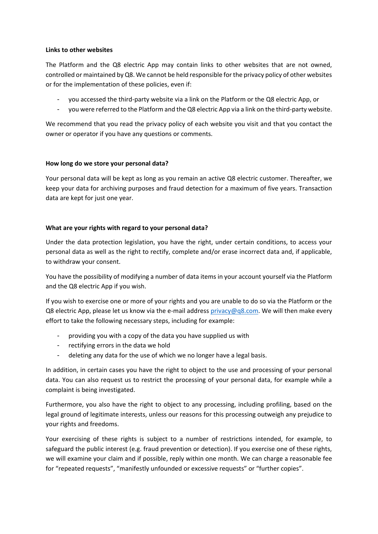### **Links to other websites**

The Platform and the Q8 electric App may contain links to other websites that are not owned, controlled or maintained by Q8. We cannot be held responsible for the privacy policy of other websites or for the implementation of these policies, even if:

- you accessed the third-party website via a link on the Platform or the Q8 electric App, or
- you were referred to the Platform and the Q8 electric App via a link on the third-party website.

We recommend that you read the privacy policy of each website you visit and that you contact the owner or operator if you have any questions or comments.

## **How long do we store your personal data?**

Your personal data will be kept as long as you remain an active Q8 electric customer. Thereafter, we keep your data for archiving purposes and fraud detection for a maximum of five years. Transaction data are kept for just one year.

## **What are your rights with regard to your personal data?**

Under the data protection legislation, you have the right, under certain conditions, to access your personal data as well as the right to rectify, complete and/or erase incorrect data and, if applicable, to withdraw your consent.

You have the possibility of modifying a number of data items in your account yourself via the Platform and the Q8 electric App if you wish.

If you wish to exercise one or more of your rights and you are unable to do so via the Platform or the Q8 electric App, please let us know via the e-mail address [privacy@q8.com.](mailto:privacy@q8.com) We will then make every effort to take the following necessary steps, including for example:

- providing you with a copy of the data you have supplied us with
- rectifying errors in the data we hold
- deleting any data for the use of which we no longer have a legal basis.

In addition, in certain cases you have the right to object to the use and processing of your personal data. You can also request us to restrict the processing of your personal data, for example while a complaint is being investigated.

Furthermore, you also have the right to object to any processing, including profiling, based on the legal ground of legitimate interests, unless our reasons for this processing outweigh any prejudice to your rights and freedoms.

Your exercising of these rights is subject to a number of restrictions intended, for example, to safeguard the public interest (e.g. fraud prevention or detection). If you exercise one of these rights, we will examine your claim and if possible, reply within one month. We can charge a reasonable fee for "repeated requests", "manifestly unfounded or excessive requests" or "further copies".